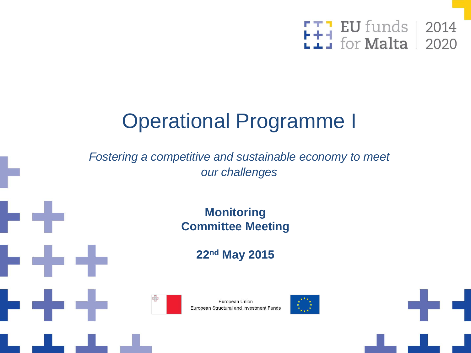

### Operational Programme I

*Fostering a competitive and sustainable economy to meet our challenges*

> **Monitoring Committee Meeting**

> > **22nd May 2015**



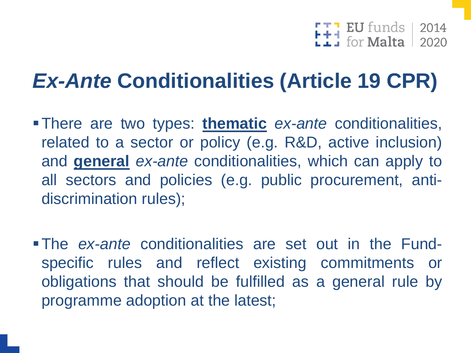$\begin{array}{|c|c|c|c|}\hline \textbf{I} & \textbf{EU}\ \textbf{funds} & \textbf{2014} \ \hline \textbf{I} & \textbf{for Malta} & \textbf{2020} \ \hline \end{array}$ 

### *Ex-Ante* **Conditionalities (Article 19 CPR)**

- There are two types: **thematic** *ex-ante* conditionalities, related to a sector or policy (e.g. R&D, active inclusion) and **general** *ex-ante* conditionalities, which can apply to all sectors and policies (e.g. public procurement, antidiscrimination rules);
- The *ex-ante* conditionalities are set out in the Fundspecific rules and reflect existing commitments or obligations that should be fulfilled as a general rule by programme adoption at the latest;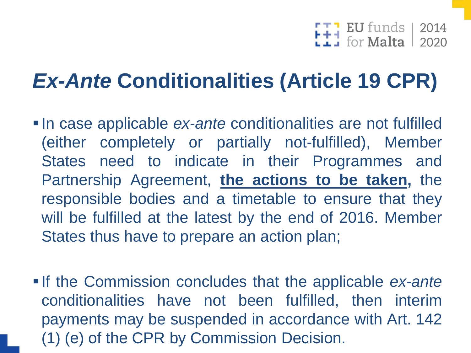# $F + 1$  EU funds 2014

### *Ex-Ante* **Conditionalities (Article 19 CPR)**

- **In case applicable** *ex-ante* conditionalities are not fulfilled (either completely or partially not-fulfilled), Member States need to indicate in their Programmes and Partnership Agreement, **the actions to be taken,** the responsible bodies and a timetable to ensure that they will be fulfilled at the latest by the end of 2016. Member States thus have to prepare an action plan;
- **If the Commission concludes that the applicable** *ex-ante* conditionalities have not been fulfilled, then interim payments may be suspended in accordance with Art. 142 (1) (e) of the CPR by Commission Decision.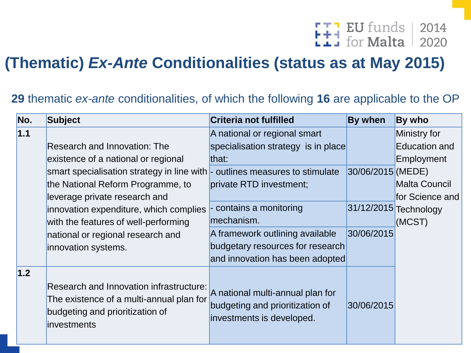# FTT EU funds | 2014

#### **(Thematic)** *Ex-Ante* **Conditionalities (status as at May 2015)**

| No. | <b>Subject</b>                                                                                                                               | <b>Criteria not fulfilled</b>                                                                    | By when           | By who                |
|-----|----------------------------------------------------------------------------------------------------------------------------------------------|--------------------------------------------------------------------------------------------------|-------------------|-----------------------|
| 1.1 |                                                                                                                                              | A national or regional smart                                                                     |                   | Ministry for          |
|     | <b>Research and Innovation: The</b>                                                                                                          | specialisation strategy is in place                                                              |                   | <b>Education and</b>  |
|     | existence of a national or regional                                                                                                          | that:                                                                                            |                   | Employment            |
|     | smart specialisation strategy in line with - outlines measures to stimulate                                                                  |                                                                                                  | 30/06/2015 (MEDE) |                       |
|     | the National Reform Programme, to                                                                                                            | private RTD investment;                                                                          |                   | <b>Malta Council</b>  |
|     | leverage private research and                                                                                                                |                                                                                                  |                   | for Science and       |
|     | innovation expenditure, which complies                                                                                                       | contains a monitoring                                                                            |                   | 31/12/2015 Technology |
|     | with the features of well-performing                                                                                                         | mechanism.                                                                                       |                   | (MCST)                |
|     | national or regional research and                                                                                                            | A framework outlining available                                                                  | 30/06/2015        |                       |
|     | innovation systems.                                                                                                                          | budgetary resources for research                                                                 |                   |                       |
|     |                                                                                                                                              | and innovation has been adopted                                                                  |                   |                       |
| 1.2 | Research and Innovation infrastructure:<br>The existence of a multi-annual plan for<br>budgeting and prioritization of<br><i>investments</i> | A national multi-annual plan for<br>budgeting and prioritization of<br>investments is developed. | 30/06/2015        |                       |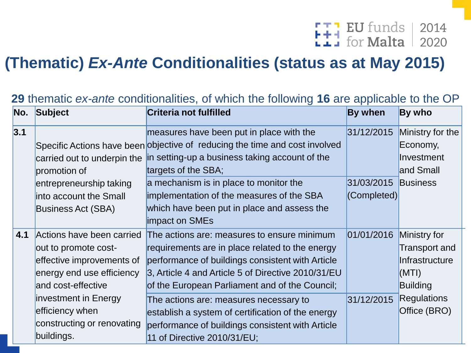# FTT EU funds | 2014

#### **(Thematic)** *Ex-Ante* **Conditionalities (status as at May 2015)**

| Subject                    | <b>Criteria not fulfilled</b>                      | By when                                                                                                                                                                                                | By who             |
|----------------------------|----------------------------------------------------|--------------------------------------------------------------------------------------------------------------------------------------------------------------------------------------------------------|--------------------|
|                            | measures have been put in place with the           | 31/12/2015                                                                                                                                                                                             | Ministry for the   |
|                            |                                                    |                                                                                                                                                                                                        | Economy,           |
|                            |                                                    |                                                                                                                                                                                                        | Investment         |
| promotion of               | targets of the SBA;                                |                                                                                                                                                                                                        | and Small          |
| entrepreneurship taking    | a mechanism is in place to monitor the             | 31/03/2015                                                                                                                                                                                             | <b>Business</b>    |
| linto account the Small    |                                                    | (Completed)                                                                                                                                                                                            |                    |
| <b>Business Act (SBA)</b>  | which have been put in place and assess the        |                                                                                                                                                                                                        |                    |
|                            | impact on SMEs                                     |                                                                                                                                                                                                        |                    |
| Actions have been carried  | The actions are: measures to ensure minimum        | 01/01/2016                                                                                                                                                                                             | Ministry for       |
| out to promote cost-       | requirements are in place related to the energy    |                                                                                                                                                                                                        | Transport and      |
| effective improvements of  | performance of buildings consistent with Article   |                                                                                                                                                                                                        | Infrastructure     |
| energy end use efficiency  | 3, Article 4 and Article 5 of Directive 2010/31/EU |                                                                                                                                                                                                        | (MTI)              |
| and cost-effective         | of the European Parliament and of the Council;     |                                                                                                                                                                                                        | <b>Building</b>    |
| investment in Energy       | The actions are: measures necessary to             | 31/12/2015                                                                                                                                                                                             | <b>Regulations</b> |
| efficiency when            | establish a system of certification of the energy  |                                                                                                                                                                                                        | Office (BRO)       |
| constructing or renovating | performance of buildings consistent with Article   |                                                                                                                                                                                                        |                    |
| buildings.                 | 11 of Directive 2010/31/EU;                        |                                                                                                                                                                                                        |                    |
|                            |                                                    | Specific Actions have been objective of reducing the time and cost involved<br>carried out to underpin the in setting-up a business taking account of the<br>implementation of the measures of the SBA |                    |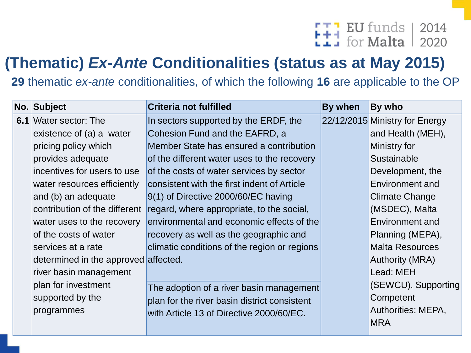### F<del>T</del>] EU funds | 2014<br>Lii for Malta | 2020

#### **(Thematic)** *Ex-Ante* **Conditionalities (status as at May 2015)**

|  | No. Subject                          | Criteria not fulfilled                       | By when                                      | By who                         |           |
|--|--------------------------------------|----------------------------------------------|----------------------------------------------|--------------------------------|-----------|
|  | <b>6.1</b> Water sector: The         | In sectors supported by the ERDF, the        |                                              | 22/12/2015 Ministry for Energy |           |
|  | existence of (a) a water             | Cohesion Fund and the EAFRD, a               |                                              | and Health (MEH),              |           |
|  | pricing policy which                 | Member State has ensured a contribution      |                                              | Ministry for                   |           |
|  | provides adequate                    | of the different water uses to the recovery  |                                              | Sustainable                    |           |
|  | incentives for users to use          | of the costs of water services by sector     |                                              | Development, the               |           |
|  | water resources efficiently          | consistent with the first indent of Article  |                                              | Environment and                |           |
|  | and (b) an adequate                  | $9(1)$ of Directive 2000/60/EC having        |                                              | Climate Change                 |           |
|  | contribution of the different        | regard, where appropriate, to the social,    |                                              | (MSDEC), Malta                 |           |
|  | water uses to the recovery           | environmental and economic effects of the    |                                              | Environment and                |           |
|  | of the costs of water                | recovery as well as the geographic and       |                                              | Planning (MEPA),               |           |
|  | services at a rate                   | climatic conditions of the region or regions |                                              | <b>Malta Resources</b>         |           |
|  | determined in the approved affected. |                                              |                                              | <b>Authority (MRA)</b>         |           |
|  | river basin management               |                                              |                                              | Lead: MEH                      |           |
|  | plan for investment                  | The adoption of a river basin management     |                                              | (SEWCU), Supporting            |           |
|  | supported by the                     |                                              | plan for the river basin district consistent |                                | Competent |
|  | programmes                           | with Article 13 of Directive 2000/60/EC.     |                                              | Authorities: MEPA,             |           |
|  |                                      |                                              |                                              | <b>MRA</b>                     |           |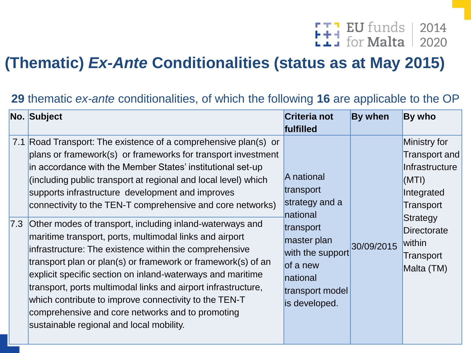# FTT EU funds | 2014

#### **(Thematic)** *Ex-Ante* **Conditionalities (status as at May 2015)**

| No. Subject                                                                                                                                                                                                                                                                                                                                                                                                                                                                                                                                                                                                                                                                                                                                                                                                                                                                                                                    | <b>Criteria not</b><br>fulfilled                                                                                                                                  | <b>By when</b> | By who                                                                                                                                                     |
|--------------------------------------------------------------------------------------------------------------------------------------------------------------------------------------------------------------------------------------------------------------------------------------------------------------------------------------------------------------------------------------------------------------------------------------------------------------------------------------------------------------------------------------------------------------------------------------------------------------------------------------------------------------------------------------------------------------------------------------------------------------------------------------------------------------------------------------------------------------------------------------------------------------------------------|-------------------------------------------------------------------------------------------------------------------------------------------------------------------|----------------|------------------------------------------------------------------------------------------------------------------------------------------------------------|
| 7.1 Road Transport: The existence of a comprehensive plan(s) or<br>plans or framework(s) or frameworks for transport investment<br>in accordance with the Member States' institutional set-up<br>(including public transport at regional and local level) which<br>supports infrastructure development and improves<br>connectivity to the TEN-T comprehensive and core networks)<br>7.3 Other modes of transport, including inland-waterways and<br>maritime transport, ports, multimodal links and airport<br>infrastructure: The existence within the comprehensive<br>transport plan or plan(s) or framework or framework(s) of an<br>explicit specific section on inland-waterways and maritime<br>transport, ports multimodal links and airport infrastructure,<br>which contribute to improve connectivity to the TEN-T<br>comprehensive and core networks and to promoting<br>sustainable regional and local mobility. | A national<br>transport<br>strategy and a<br>national<br>transport<br>master plan<br>with the support<br>of a new<br>national<br>transport model<br>is developed. | 30/09/2015     | Ministry for<br>Transport and<br>Infrastructure<br>(MTI)<br>Integrated<br>Transport<br>Strategy<br><b>Directorate</b><br>within<br>Transport<br>Malta (TM) |